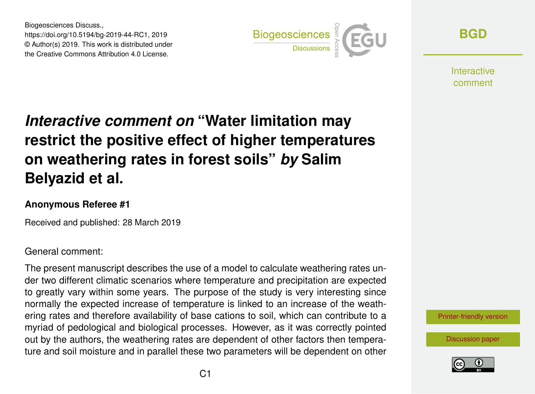Biogeosciences Discuss., https://doi.org/10.5194/bg-2019-44-RC1, 2019 © Author(s) 2019. This work is distributed under the Creative Commons Attribution 4.0 License.



**[BGD](https://www.biogeosciences-discuss.net/)**

Interactive comment

# *Interactive comment on* **"Water limitation may restrict the positive effect of higher temperatures on weathering rates in forest soils"** *by* **Salim Belyazid et al.**

#### **Anonymous Referee #1**

Received and published: 28 March 2019

#### General comment:

The present manuscript describes the use of a model to calculate weathering rates under two different climatic scenarios where temperature and precipitation are expected to greatly vary within some years. The purpose of the study is very interesting since normally the expected increase of temperature is linked to an increase of the weathering rates and therefore availability of base cations to soil, which can contribute to a myriad of pedological and biological processes. However, as it was correctly pointed out by the authors, the weathering rates are dependent of other factors then temperature and soil moisture and in parallel these two parameters will be dependent on other

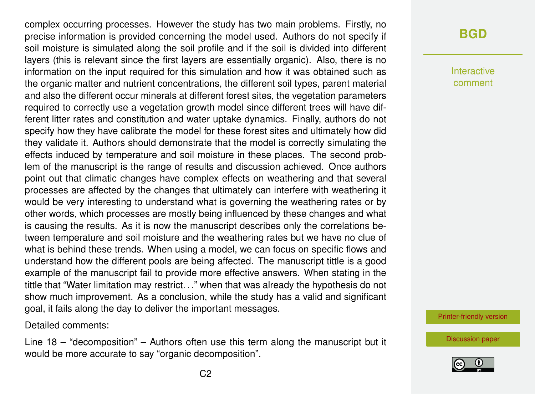complex occurring processes. However the study has two main problems. Firstly, no precise information is provided concerning the model used. Authors do not specify if soil moisture is simulated along the soil profile and if the soil is divided into different layers (this is relevant since the first layers are essentially organic). Also, there is no information on the input required for this simulation and how it was obtained such as the organic matter and nutrient concentrations, the different soil types, parent material and also the different occur minerals at different forest sites, the vegetation parameters required to correctly use a vegetation growth model since different trees will have different litter rates and constitution and water uptake dynamics. Finally, authors do not specify how they have calibrate the model for these forest sites and ultimately how did they validate it. Authors should demonstrate that the model is correctly simulating the effects induced by temperature and soil moisture in these places. The second problem of the manuscript is the range of results and discussion achieved. Once authors point out that climatic changes have complex effects on weathering and that several processes are affected by the changes that ultimately can interfere with weathering it would be very interesting to understand what is governing the weathering rates or by other words, which processes are mostly being influenced by these changes and what is causing the results. As it is now the manuscript describes only the correlations between temperature and soil moisture and the weathering rates but we have no clue of what is behind these trends. When using a model, we can focus on specific flows and understand how the different pools are being affected. The manuscript tittle is a good example of the manuscript fail to provide more effective answers. When stating in the tittle that "Water limitation may restrict. . ." when that was already the hypothesis do not show much improvement. As a conclusion, while the study has a valid and significant goal, it fails along the day to deliver the important messages.

Detailed comments:

Line 18 – "decomposition" – Authors often use this term along the manuscript but it would be more accurate to say "organic decomposition".

## **[BGD](https://www.biogeosciences-discuss.net/)**

Interactive comment

[Printer-friendly version](https://www.biogeosciences-discuss.net/bg-2019-44/bg-2019-44-RC1-print.pdf)

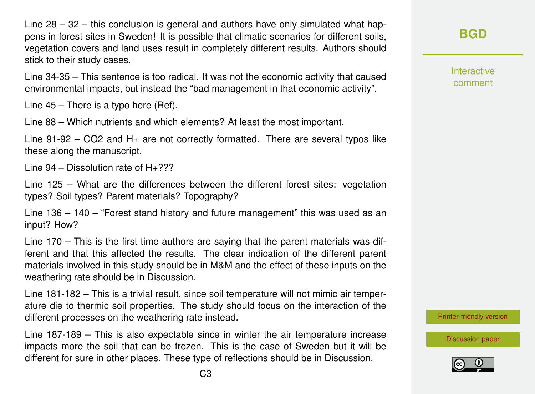Line 28 – 32 – this conclusion is general and authors have only simulated what happens in forest sites in Sweden! It is possible that climatic scenarios for different soils, vegetation covers and land uses result in completely different results. Authors should stick to their study cases.

Line 34-35 – This sentence is too radical. It was not the economic activity that caused environmental impacts, but instead the "bad management in that economic activity".

Line 45 – There is a typo here (Ref).

Line 88 – Which nutrients and which elements? At least the most important.

Line 91-92 – CO2 and H+ are not correctly formatted. There are several typos like these along the manuscript.

Line  $94 -$  Dissolution rate of  $H + ? ? ?$ 

Line 125 – What are the differences between the different forest sites: vegetation types? Soil types? Parent materials? Topography?

Line 136 – 140 – "Forest stand history and future management" this was used as an input? How?

Line 170 – This is the first time authors are saying that the parent materials was different and that this affected the results. The clear indication of the different parent materials involved in this study should be in M&M and the effect of these inputs on the weathering rate should be in Discussion.

Line 181-182 – This is a trivial result, since soil temperature will not mimic air temperature die to thermic soil properties. The study should focus on the interaction of the different processes on the weathering rate instead.

Line 187-189 – This is also expectable since in winter the air temperature increase impacts more the soil that can be frozen. This is the case of Sweden but it will be different for sure in other places. These type of reflections should be in Discussion.

**[BGD](https://www.biogeosciences-discuss.net/)**

Interactive comment

[Printer-friendly version](https://www.biogeosciences-discuss.net/bg-2019-44/bg-2019-44-RC1-print.pdf)